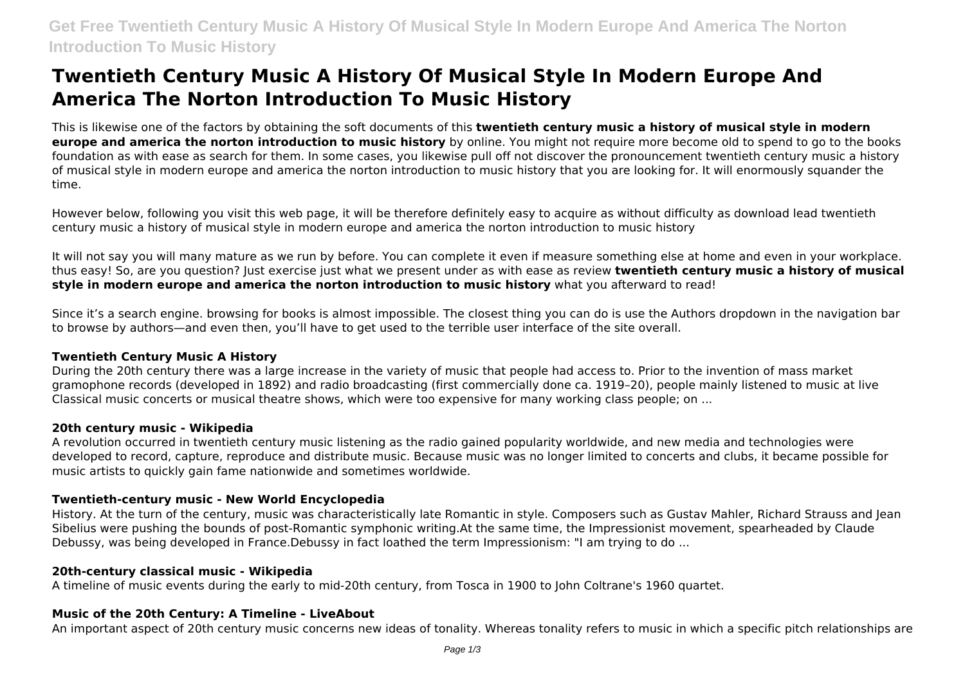# **Twentieth Century Music A History Of Musical Style In Modern Europe And America The Norton Introduction To Music History**

This is likewise one of the factors by obtaining the soft documents of this **twentieth century music a history of musical style in modern europe and america the norton introduction to music history** by online. You might not require more become old to spend to go to the books foundation as with ease as search for them. In some cases, you likewise pull off not discover the pronouncement twentieth century music a history of musical style in modern europe and america the norton introduction to music history that you are looking for. It will enormously squander the time.

However below, following you visit this web page, it will be therefore definitely easy to acquire as without difficulty as download lead twentieth century music a history of musical style in modern europe and america the norton introduction to music history

It will not say you will many mature as we run by before. You can complete it even if measure something else at home and even in your workplace. thus easy! So, are you question? Just exercise just what we present under as with ease as review **twentieth century music a history of musical style in modern europe and america the norton introduction to music history** what you afterward to read!

Since it's a search engine. browsing for books is almost impossible. The closest thing you can do is use the Authors dropdown in the navigation bar to browse by authors—and even then, you'll have to get used to the terrible user interface of the site overall.

# **Twentieth Century Music A History**

During the 20th century there was a large increase in the variety of music that people had access to. Prior to the invention of mass market gramophone records (developed in 1892) and radio broadcasting (first commercially done ca. 1919–20), people mainly listened to music at live Classical music concerts or musical theatre shows, which were too expensive for many working class people; on ...

#### **20th century music - Wikipedia**

A revolution occurred in twentieth century music listening as the radio gained popularity worldwide, and new media and technologies were developed to record, capture, reproduce and distribute music. Because music was no longer limited to concerts and clubs, it became possible for music artists to quickly gain fame nationwide and sometimes worldwide.

# **Twentieth-century music - New World Encyclopedia**

History. At the turn of the century, music was characteristically late Romantic in style. Composers such as Gustav Mahler, Richard Strauss and Jean Sibelius were pushing the bounds of post-Romantic symphonic writing.At the same time, the Impressionist movement, spearheaded by Claude Debussy, was being developed in France.Debussy in fact loathed the term Impressionism: "I am trying to do ...

#### **20th-century classical music - Wikipedia**

A timeline of music events during the early to mid-20th century, from Tosca in 1900 to John Coltrane's 1960 quartet.

#### **Music of the 20th Century: A Timeline - LiveAbout**

An important aspect of 20th century music concerns new ideas of tonality. Whereas tonality refers to music in which a specific pitch relationships are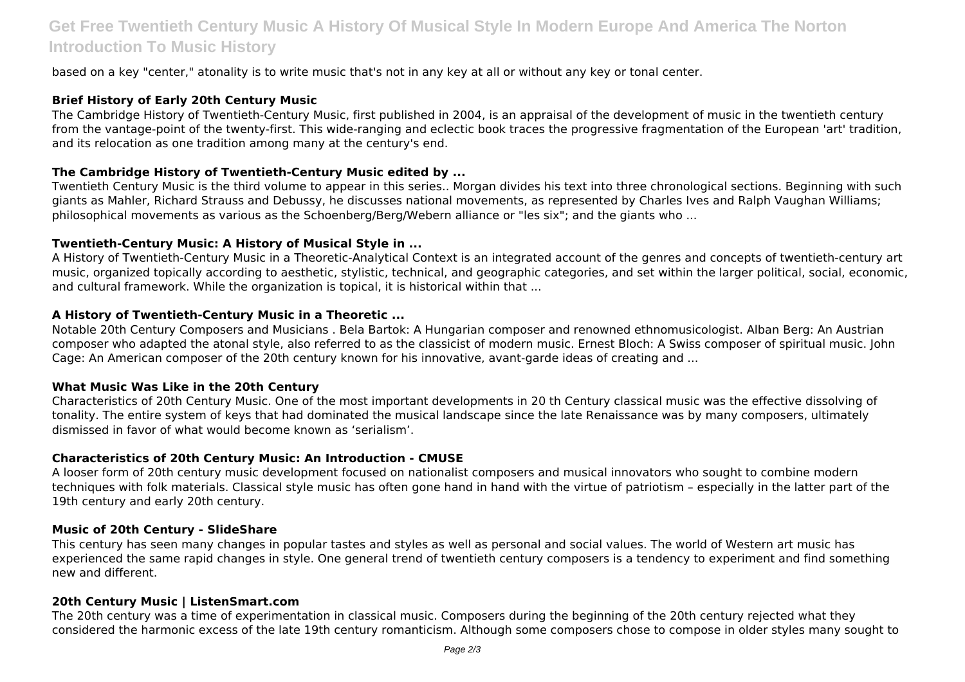# **Get Free Twentieth Century Music A History Of Musical Style In Modern Europe And America The Norton Introduction To Music History**

based on a key "center," atonality is to write music that's not in any key at all or without any key or tonal center.

# **Brief History of Early 20th Century Music**

The Cambridge History of Twentieth-Century Music, first published in 2004, is an appraisal of the development of music in the twentieth century from the vantage-point of the twenty-first. This wide-ranging and eclectic book traces the progressive fragmentation of the European 'art' tradition, and its relocation as one tradition among many at the century's end.

# **The Cambridge History of Twentieth-Century Music edited by ...**

Twentieth Century Music is the third volume to appear in this series.. Morgan divides his text into three chronological sections. Beginning with such giants as Mahler, Richard Strauss and Debussy, he discusses national movements, as represented by Charles Ives and Ralph Vaughan Williams; philosophical movements as various as the Schoenberg/Berg/Webern alliance or "les six"; and the giants who ...

# **Twentieth-Century Music: A History of Musical Style in ...**

A History of Twentieth-Century Music in a Theoretic-Analytical Context is an integrated account of the genres and concepts of twentieth-century art music, organized topically according to aesthetic, stylistic, technical, and geographic categories, and set within the larger political, social, economic, and cultural framework. While the organization is topical, it is historical within that ...

# **A History of Twentieth-Century Music in a Theoretic ...**

Notable 20th Century Composers and Musicians . Bela Bartok: A Hungarian composer and renowned ethnomusicologist. Alban Berg: An Austrian composer who adapted the atonal style, also referred to as the classicist of modern music. Ernest Bloch: A Swiss composer of spiritual music. John Cage: An American composer of the 20th century known for his innovative, avant-garde ideas of creating and ...

#### **What Music Was Like in the 20th Century**

Characteristics of 20th Century Music. One of the most important developments in 20 th Century classical music was the effective dissolving of tonality. The entire system of keys that had dominated the musical landscape since the late Renaissance was by many composers, ultimately dismissed in favor of what would become known as 'serialism'.

#### **Characteristics of 20th Century Music: An Introduction - CMUSE**

A looser form of 20th century music development focused on nationalist composers and musical innovators who sought to combine modern techniques with folk materials. Classical style music has often gone hand in hand with the virtue of patriotism – especially in the latter part of the 19th century and early 20th century.

#### **Music of 20th Century - SlideShare**

This century has seen many changes in popular tastes and styles as well as personal and social values. The world of Western art music has experienced the same rapid changes in style. One general trend of twentieth century composers is a tendency to experiment and find something new and different.

#### **20th Century Music | ListenSmart.com**

The 20th century was a time of experimentation in classical music. Composers during the beginning of the 20th century rejected what they considered the harmonic excess of the late 19th century romanticism. Although some composers chose to compose in older styles many sought to